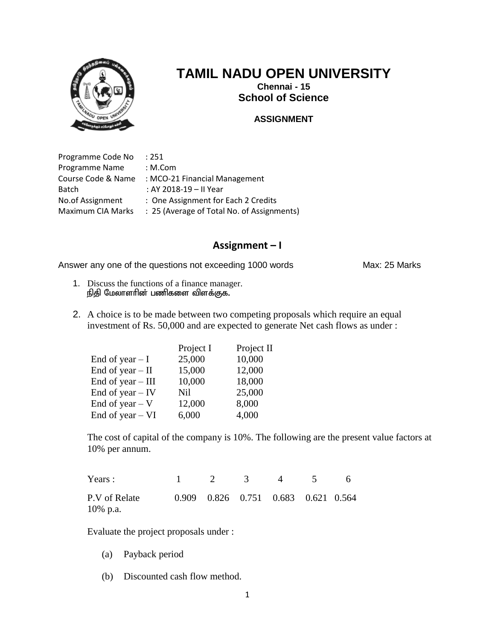

**Chennai - 15 School of Science**

#### **ASSIGNMENT**

Programme Code No : 251 Programme Name : M.Com Course Code & Name : MCO-21 Financial Management Batch : AY 2018-19 – II Year No.of Assignment : One Assignment for Each 2 Credits Maximum CIA Marks : 25 (Average of Total No. of Assignments)

#### **Assignment – I**

Answer any one of the questions not exceeding 1000 words Max: 25 Marks

- 1. Discuss the functions of a finance manager.  $f$ நிதி மேலாளரின் பணிகளை விளக்குக.
- 2. A choice is to be made between two competing proposals which require an equal investment of Rs. 50,000 and are expected to generate Net cash flows as under :

| Project I | Project II |
|-----------|------------|
| 25,000    | 10,000     |
| 15,000    | 12,000     |
| 10,000    | 18,000     |
| Nil       | 25,000     |
| 12,000    | 8,000      |
| 6,000     | 4,000      |
|           |            |

The cost of capital of the company is 10%. The following are the present value factors at 10% per annum.

| Years :                   | $\overline{2}$ | $\sim$ 3 | $\overline{\mathbf{A}}$             | . 6 |
|---------------------------|----------------|----------|-------------------------------------|-----|
| P.V of Relate<br>10% p.a. |                |          | 0.909 0.826 0.751 0.683 0.621 0.564 |     |

Evaluate the project proposals under :

- (a) Payback period
- (b) Discounted cash flow method.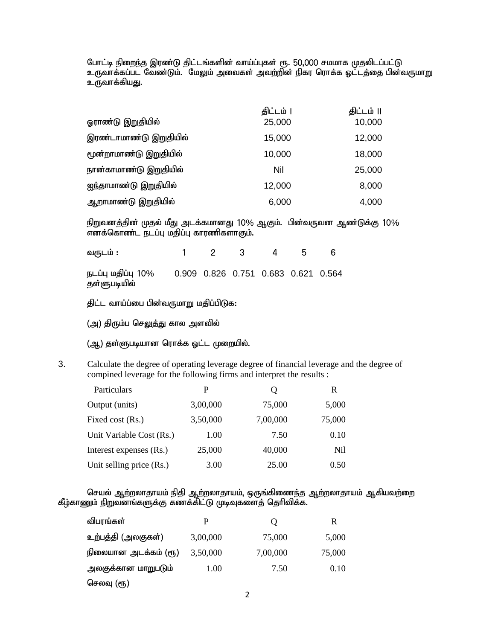போட்டி நிறைந்த இரண்டு திட்டங்களின் வாய்ப்புகள் ரூ. 50,000 சமமாக முதலிடப்பட்டு உருவாக்கப்பட வேண்டும். மேலும் அவைகள் அவற்றின் நிகர ரொக்க ஓட்டத்தை பின்வருமாறு உருவாக்கியது.

|                        | திட்டம் | திட்டம் II |
|------------------------|---------|------------|
| ஓராண்டு இறுதியில்      | 25,000  | 10,000     |
| இரண்டாமாண்டு இறுதியில் | 15,000  | 12,000     |
| மூன்றாமாண்டு இறுதியில் | 10,000  | 18,000     |
| நான்காமாண்டு இறுதியில் | Nil     | 25,000     |
| ஐந்தாமாண்டு இறுதியில்  | 12,000  | 8,000      |
| ஆறாமாண்டு இறுதியில்    | 6,000   | 4,000      |

நிறுவனத்தின் முதல் மீது அடக்கமானது 10% ஆகும். பின்வருவன ஆண்டுக்கு 10% .<br>எனக்கொண்ட நடப்பு மதிப்பு காரணிகளாகும்.

வருடம்: 1 2 3 4 5 6 நடப்பு மதிப்பு 10% 0.909 0.826 0.751 0.683 0.621 0.564 தள்ளுபடியில்

திட்ட வாய்ப்பை பின்வருமாறு மதிப்பிடுக:

(அ) திரும்ப செலுத்து கால அளவில்

- (ஆ) தள்ளுபடியான ரொக்க ஒட்ட முறையில்.
- 3. Calculate the degree of operating leverage degree of financial leverage and the degree of compined leverage for the following firms and interpret the results :

| Particulars              | P        | Ő        | R      |
|--------------------------|----------|----------|--------|
| Output (units)           | 3,00,000 | 75,000   | 5,000  |
| Fixed cost (Rs.)         | 3,50,000 | 7,00,000 | 75,000 |
| Unit Variable Cost (Rs.) | 1.00     | 7.50     | 0.10   |
| Interest expenses (Rs.)  | 25,000   | 40,000   | Nil    |
| Unit selling price (Rs.) | 3.00     | 25.00    | 0.50   |

செயல் ஆற்றலாதாயம் நிதி ஆற்றலாதாயம், ஒருங்கிணைந்த ஆற்றலாதாயம் ஆகியவற்றை கீழ்காணும் நிறுவனங்களுக்கு கணக்கிட்டு முடிவுகளைத் தெரிவிக்க.

| விபரங்கள்            |          | Ő        | R      |
|----------------------|----------|----------|--------|
| உற்பத்தி (அலகுகள்)   | 3,00,000 | 75,000   | 5,000  |
| நிலையான அடக்கம் (ரூ) | 3,50,000 | 7,00,000 | 75,000 |
| அலகுக்கான மாறுபடும்  | 1.00     | 7.50     | 0.10   |
| செலவு (ரூ)           |          |          |        |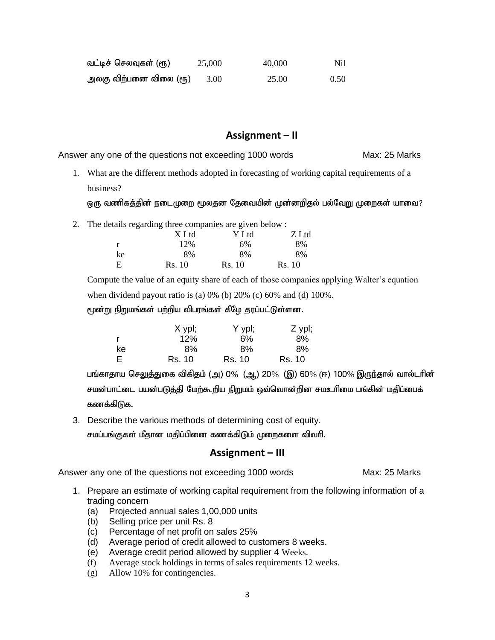| வட்டிச் செலவுகள் (ரூ)  | 25,000 | 40,000 | Nil. |
|------------------------|--------|--------|------|
| அலகு விற்பனை விலை (ரூ) | 3.00   | 25.00  | 0.50 |

Answer any one of the questions not exceeding 1000 words Max: 25 Marks

1. What are the different methods adopted in forecasting of working capital requirements of a business?

ஒரு வணிகத்தின் நடைமுறை மூலதன தேவையின் முன்னறிதல் பல்வேறு முறைகள் யாவை?

2. The details regarding three companies are given below :

|    | X Ltd  | Y Ltd  | Z Ltd  |
|----|--------|--------|--------|
| r  | 12%    | 6%     | 8%     |
| ke | 8%     | 8%     | 8%     |
| E  | Rs. 10 | Rs. 10 | Rs. 10 |

Compute the value of an equity share of each of those companies applying Walter's equation when dividend payout ratio is (a)  $0\%$  (b)  $20\%$  (c)  $60\%$  and (d)  $100\%$ .

மூன்று நிறுமங்கள் பற்றிய விபரங்கள் கீழே தரப்பட்டுள்ளன.

|    | X ypl; | Y ypl; | Z ypl; |
|----|--------|--------|--------|
|    | 12%    | 6%     | 8%     |
| ke | 8%     | 8%     | 8%     |
| E  | Rs. 10 | Rs. 10 | Rs. 10 |

பங்காதாய செலுத்துகை விகிதம் (அ) 0% (ஆ) 20% (இ) 60% (ஈ) 100% இருந்தால் வால்டரின் சமன்பாட்டை பயன்படுத்தி மேற்கூறிய நிறுமம் ஒவ்வொன்றின சமஉரிமை பங்கின் மதிப்பைக் கணக்கிடுக.

3. Describe the various methods of determining cost of equity. சமப்பங்குகள் மீதான மதிப்பினை கணக்கிடும் முறைகளை விவரி.

## **Assignment – III**

- 1. Prepare an estimate of working capital requirement from the following information of a trading concern
	- (a) Projected annual sales 1,00,000 units
	- (b) Selling price per unit Rs. 8
	- (c) Percentage of net profit on sales 25%
	- (d) Average period of credit allowed to customers 8 weeks.
	- (e) Average credit period allowed by supplier 4 Weeks.
	- (f) Average stock holdings in terms of sales requirements 12 weeks.
	- (g) Allow 10% for contingencies.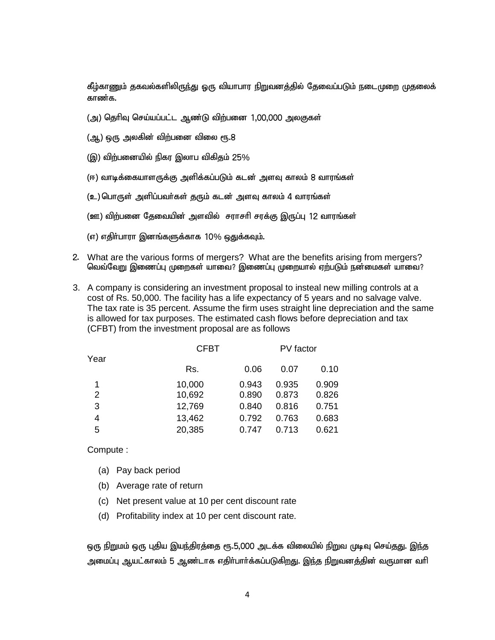கீழ்காணும் தகவல்களிலிருந்து ஒரு வியாபார நிறுவனத்தில் தேவைப்படும் நடைமுறை முதலைக் காண்க.

- (அ) தெரிவு செய்யப்பட்ட ஆண்டு விற்பனை 1,00,000 அலகுகள்
- $(\mathfrak{g}, \mathfrak{g})$  ஒரு அலகின் விற்பனை விலை ரூ.8
- (இ) விற்பனையில் நிகர இலாப விகிகும் 25 $\%$
- (ஈ) வாடிக்கையாளருக்கு அளிக்கப்படும் கடன் அளவு காலம் 8 வாரங்கள்
- (உ) பொருள் அளிப்பவர்கள் குரும் கடன் அளவு காலம் 4 வாரங்கள்
- (ஊ) விற்பனை தேவையின் அளவில் சராசரி சரக்கு இருப்பு 12 வாரங்கள்
- (எ) எதிர்பாரா இனங்களுக்காக 10% ஒதுக்கவும்.
- 2. What are the various forms of mergers? What are the benefits arising from mergers? வெவ்வேறு இணைப்பு முறைகள் யாவை? இணைப்பு முறையால் ஏற்படும் நன்மைகள் யாவை?
- 3. A company is considering an investment proposal to insteal new milling controls at a cost of Rs. 50,000. The facility has a life expectancy of 5 years and no salvage valve. The tax rate is 35 percent. Assume the firm uses straight line depreciation and the same is allowed for tax purposes. The estimated cash flows before depreciation and tax (CFBT) from the investment proposal are as follows

|      | <b>CFBT</b> |       | PV factor |       |
|------|-------------|-------|-----------|-------|
| Year | Rs.         | 0.06  | 0.07      | 0.10  |
|      | 10,000      | 0.943 | 0.935     | 0.909 |
| 2    | 10,692      | 0.890 | 0.873     | 0.826 |
| 3    | 12,769      | 0.840 | 0.816     | 0.751 |
| 4    | 13,462      | 0.792 | 0.763     | 0.683 |
| 5    | 20,385      | 0.747 | 0.713     | 0.621 |
|      |             |       |           |       |

Compute :

- (a) Pay back period
- (b) Average rate of return
- (c) Net present value at 10 per cent discount rate
- (d) Profitability index at 10 per cent discount rate.

ஒரு நிறுமம் ஒரு புதிய இயந்திரத்தை ரூ.5,000 அடக்க விலையில் நிறுவ முடிவு செய்தது. இந்த அமைப்பு ஆயட்காலம் 5 ஆண்டாக எதிா்பாா்க்கப்படுகிறது. இந்த நிறுவனத்தின் வருமான வாி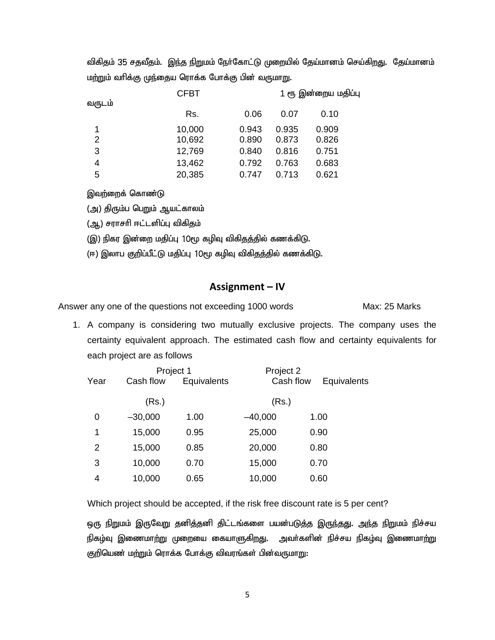விகிதம் 35 சதவீதம். இந்த நிறுமம் நேர்கோட்டு முறையில் தேய்மானம் செய்கிறது. தேய்மானம் மற்றும் வரிக்கு முந்தைய ரொக்க போக்கு பின் வருமாறு.

| வருடம் | <b>CFBT</b> |       |       | 1 ரூ இன்றைய மதிப்பு |  |  |
|--------|-------------|-------|-------|---------------------|--|--|
|        | Rs.         | 0.06  | 0.07  | 0.10                |  |  |
|        | 10,000      | 0.943 | 0.935 | 0.909               |  |  |
| 2      | 10,692      | 0.890 | 0.873 | 0.826               |  |  |
| 3      | 12,769      | 0.840 | 0.816 | 0.751               |  |  |
| 4      | 13,462      | 0.792 | 0.763 | 0.683               |  |  |
| 5      | 20,385      | 0.747 | 0.713 | 0.621               |  |  |

இவற்றைக் கொண்டு

(அ) திரும்ப பெறும் ஆயட்காலம்

(ஆ) சராசரி ஈட்டளிப்பு விகிதம்

(இ) நிகர இன்றை மதிப்பு 10மூ கழிவு விகிதத்தில் கணக்கிடு.

(ஈ) இலாப குறிப்பீட்டு மதிப்பு 10மூ கழிவு விகிதத்தில் கணக்கிடு.

## **Assignment – IV**

Answer any one of the questions not exceeding 1000 words Max: 25 Marks

1. A company is considering two mutually exclusive projects. The company uses the certainty equivalent approach. The estimated cash flow and certainty equivalents for each project are as follows

|      | Project 1 |             | Project 2 |             |
|------|-----------|-------------|-----------|-------------|
| Year | Cash flow | Equivalents | Cash flow | Equivalents |
|      | (Rs.)     |             | (Rs.)     |             |
| 0    | $-30,000$ | 1.00        | $-40,000$ | 1.00        |
| 1    | 15,000    | 0.95        | 25,000    | 0.90        |
| 2    | 15,000    | 0.85        | 20,000    | 0.80        |
| 3    | 10,000    | 0.70        | 15,000    | 0.70        |
| 4    | 10,000    | 0.65        | 10,000    | 0.60        |

Which project should be accepted, if the risk free discount rate is 5 per cent?

ஒரு நிறுமம் இருவேறு தனித்தனி திட்டங்களை பயன்படுத்த இருந்தது. அந்த நிறுமம் நிச்சய நிகழ்வு இணைமாற்று முறையை கையாளுகிறது. அவா்களின் நிச்சய நிகழ்வு இணைமாற்று குறியெண் மற்றும் ரொக்க போக்கு விவரங்கள் பின்வருமாறு: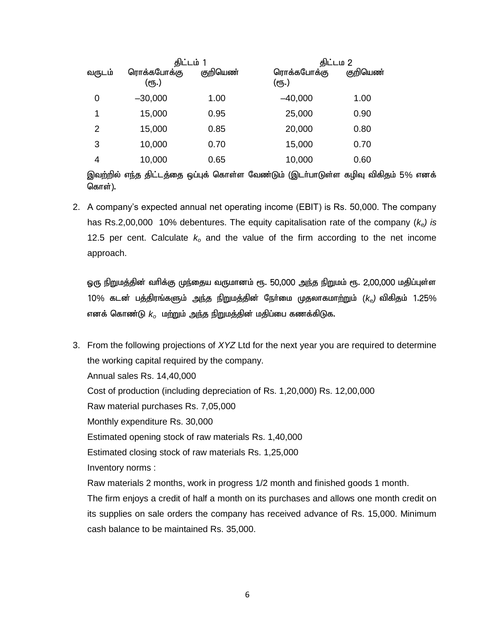|        | திட்டம் 1            |          | திட்டம 2             |          |
|--------|----------------------|----------|----------------------|----------|
| வருடம் | ரொக்கபோக்கு<br>(ரூ.) | குறியெண் | ரொக்கபோக்கு<br>(ரூ.) | குறியெண் |
| 0      | $-30,000$            | 1.00     | $-40,000$            | 1.00     |
| 1      | 15,000               | 0.95     | 25,000               | 0.90     |
| 2      | 15,000               | 0.85     | 20,000               | 0.80     |
| 3      | 10,000               | 0.70     | 15,000               | 0.70     |
| 4      | 10,000               | 0.65     | 10,000               | 0.60     |

இவற்றில் எந்த திட்டத்தை ஒப்புக் கொள்ள வேண்டும் (இடர்பாடுள்ள கழிவு விகிதம் 5% எனக் கொள்).

2. A company's expected annual net operating income (EBIT) is Rs. 50,000. The company has Rs.2,00,000 10% debentures. The equity capitalisation rate of the company (*ke) is* 12.5 per cent. Calculate *k<sup>o</sup>* and the value of the firm according to the net income approach.

ஒரு நிறுமத்தின் வரிக்கு முந்தைய வருமானம் ரூ. 50,000 <u>அந்த நிறு</u>மம் ரூ. 2,00,000 மதிப்புள்ள 10% கடன் பத்திரங்களும் <u>அந்த நிறுமத்</u>தின் நேர்மை முதலாகமாற்றும் (*k<sub>e</sub>*) விகிதம் 1.25% எனக் கொண்டு  $k_o$  மற்றும் அந்த நிறுமத்தின் மதிப்பை கணக்கிடுக.

3. From the following projections of *XYZ* Ltd for the next year you are required to determine the working capital required by the company. Annual sales Rs. 14,40,000 Cost of production (including depreciation of Rs. 1,20,000) Rs. 12,00,000 Raw material purchases Rs. 7,05,000 Monthly expenditure Rs. 30,000 Estimated opening stock of raw materials Rs. 1,40,000 Estimated closing stock of raw materials Rs. 1,25,000 Inventory norms : Raw materials 2 months, work in progress 1/2 month and finished goods 1 month. The firm enjoys a credit of half a month on its purchases and allows one month credit on its supplies on sale orders the company has received advance of Rs. 15,000. Minimum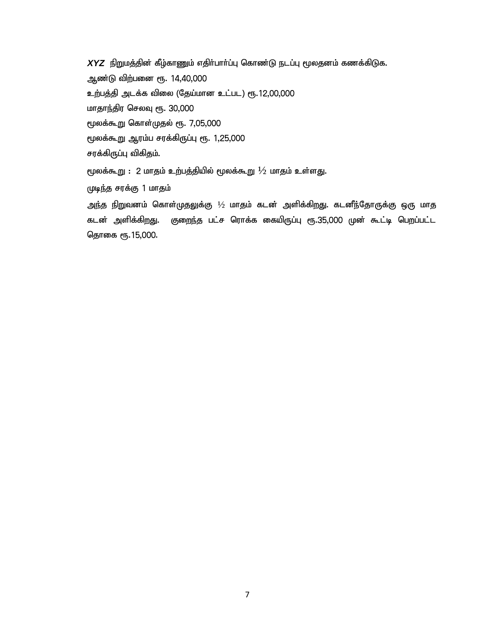*XYZ* நிறுமத்தின் கீழ்காணும் எதிர்பார்ப்பு கொண்டு நடப்பு மூலதனம் கணக்கிடுக. ஆண்டு விற்பனை ரூ. 14,40,000 உற்பத்தி அடக்க விலை (தேய்மான உட்பட) ரூ.12,00,000 மாதாந்திர செலவு ரூ. 30,000 மூலக்கூறு கொள்முதல் ரூ. 7,05,000 மூலக்கூறு ஆரம்ப சரக்கிருப்பு ரூ. 1,25,000 சரக்கிருப்பு விகிதம்.  $\epsilon$ முலக்கூறு : 2 மாதம் உற்பத்தியில் மூலக்கூறு  $1\!/$ 2 மாதம் உள்ளது. (முடிந்த சரக்கு 1 மாதம்

அந்த நிறுவனம் கொள்முதலுக்கு  $\frac{1}{2}$  மாதம் கடன் அளிக்கிறது. கடனீந்தோருக்கு ஒரு மாத கடன் அளிக்கிறது. குறைந்த பட்ச ரொக்க கையிருப்பு ரூ.35,000 முன் கூட்டி பெறப்பட்ட தொகை ரூ.15,000.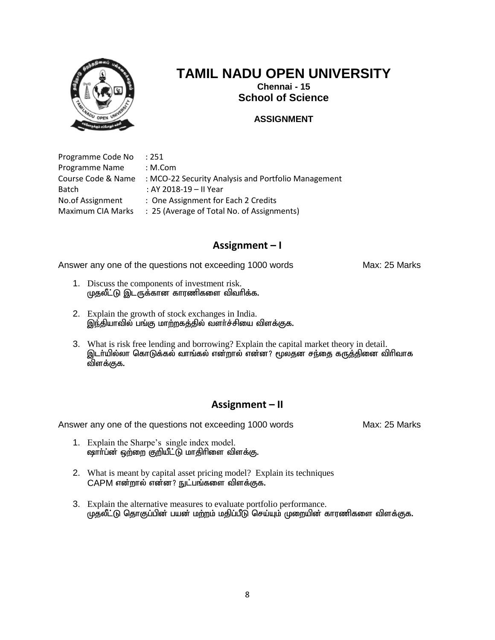

**Chennai - 15 School of Science**

#### **ASSIGNMENT**

Programme Code No : 251 Programme Name : M.Com Course Code & Name : MCO-22 Security Analysis and Portfolio Management Batch : AY 2018-19 – II Year No.of Assignment : One Assignment for Each 2 Credits Maximum CIA Marks : 25 (Average of Total No. of Assignments)

## **Assignment – I**

Answer any one of the questions not exceeding 1000 words Max: 25 Marks

- 1. Discuss the components of investment risk. முதலீட்டு இடருக்கான காரணிகளை விவரிக்க.
- 2. Explain the growth of stock exchanges in India. இந்தியாவில் பங்கு மாற்றகத்தில் வளர்ச்சியை விளக்குக.
- 3. What is risk free lending and borrowing? Explain the capital market theory in detail. இடா்யில்லா கொடுக்கல் வாங்கல் என்றால் என்ன? மூலதன சந்தை கருத்தினை விரிவாக விளக்குக.

## **Assignment – II**

- 1. Explain the Sharpe's single index model.  $\alpha$ gாா்ப்ன் ஒற்றை குறியீட்டு மாதிாிளை விளக்கு.
- 2. What is meant by capital asset pricing model? Explain its techniques CAPM என்றால் என்ன? நுட்பங்களை விளக்குக.
- 3. Explain the alternative measures to evaluate portfolio performance. முதலீட்டு தொகுப்பின் பயன் மற்றம் மதிப்பீடு செய்யும் முறையின் காரணிகளை விளக்குக.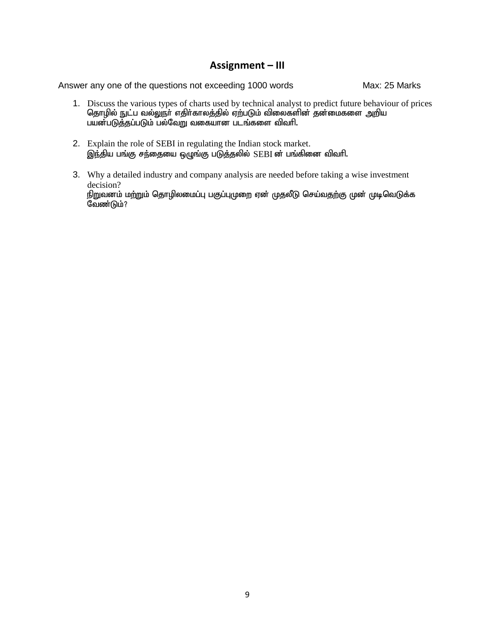- 1. Discuss the various types of charts used by technical analyst to predict future behaviour of prices தொழில் நுட்ப வல்லுநா் எதிா்காலத்தில் ஏற்படும் விலைகளின் தன்மைகளை அறிய பயன்படுத்தப்படும் பல்வேறு வகையான படங்களை விவரி.
- 2. Explain the role of SEBI in regulating the Indian stock market. இந்திய பங்கு சந்தையை ஒழுங்கு படுத்தலில் SEBI ன் பங்கினை விவரி.
- 3. Why a detailed industry and company analysis are needed before taking a wise investment decision? நிறுவனம் மற்றும் தொழிலமைப்பு பகுப்புமுறை ஏன் முதலீடு செய்வதற்கு முன் முடிவெடுக்க  $\widetilde{\mathcal{G}}$ வண்டும்?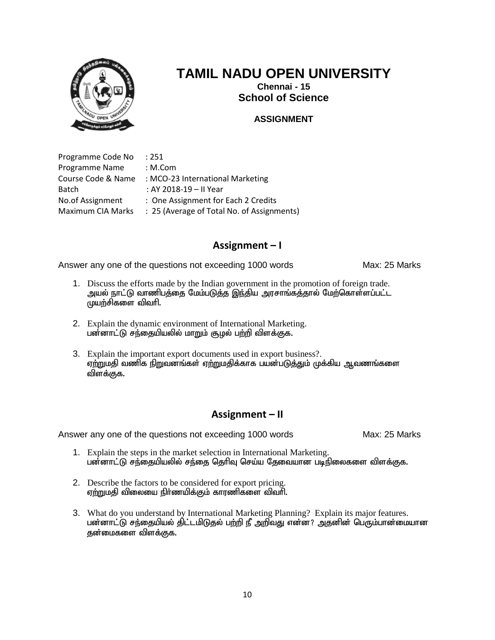

**Chennai - 15 School of Science**

#### **ASSIGNMENT**

Programme Code No : 251 Programme Name : M.Com Course Code & Name : MCO-23 International Marketing Batch : AY 2018-19 – II Year No.of Assignment : One Assignment for Each 2 Credits Maximum CIA Marks : 25 (Average of Total No. of Assignments)

## **Assignment – I**

Answer any one of the questions not exceeding 1000 words Max: 25 Marks

- 1. Discuss the efforts made by the Indian government in the promotion of foreign trade. அயல் நாட்டு வாணிபத்தை மேம்படுத்த இந்திய அரசாங்கத்தால் மேற்கொள்ளப்பட்ட  $(\mu\mu)$ ற்சிகளை விவரி.
- 2. Explain the dynamic environment of International Marketing. பன்னாட்டு சந்தையியலில் மாறும் சூழல் பற்றி விளக்குக.
- 3. Explain the important export documents used in export business?. ஏற்றுமதி வணிக நிறுவனங்கள் ஏற்றுமதிக்காக பயன்படுத்தும் முக்கிய ஆவணங்களை விளக்குக.

## **Assignment – II**

- 1. Explain the steps in the market selection in International Marketing. பன்னாட்டு சந்தையியலில் சந்தை தெரிவு செய்ய தேவையான படிநிலைகளை விளக்குக.
- 2. Describe the factors to be considered for export pricing. <u>ஏற்று</u>மதி விலையை நிா்ணயிக்கும் காரணிகளை விவாி.
- 3. What do you understand by International Marketing Planning? Explain its major features. பன்னாட்டு சந்தையியல் திட்டமிடுதல் பற்றி நீ அறிவது என்ன? அதனின் பெரும்பான்மையான குன்மைகளை விளக்குக.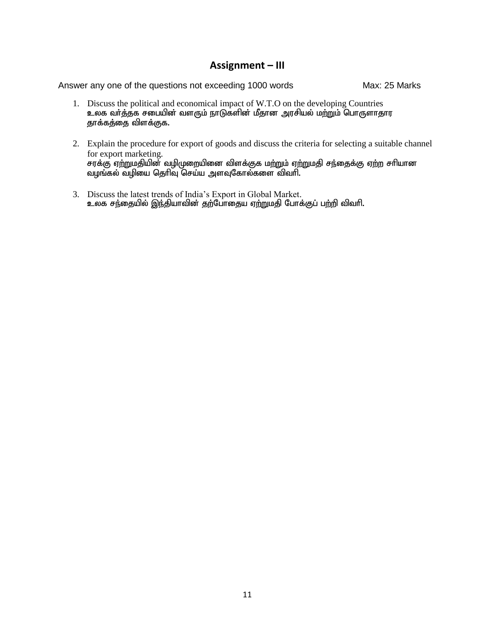- 1. Discuss the political and economical impact of W.T.O on the developing Countries cyf th;j;jf rigapd; tsUk; ehLfspd; kPjhd murpay; kw;Wk; nghUshjhu தாக்கத்தை விளக்குக.
- 2. Explain the procedure for export of goods and discuss the criteria for selecting a suitable channel for export marketing. சரக்கு ஏற்றுமதியின் வழிமுறையினை விளக்குக மற்றும் ஏற்றுமதி சந்தைக்கு ஏற்ற சரியான வழங்கல் வழியை தெரிவு செய்ய அளவுகோல்களை விவரி.
- 3. Discuss the latest trends of India's Export in Global Market. உலக சந்தையில் இந்தியாவின் தற்போதைய ஏற்றுமதி போக்குப் பற்றி விவரி.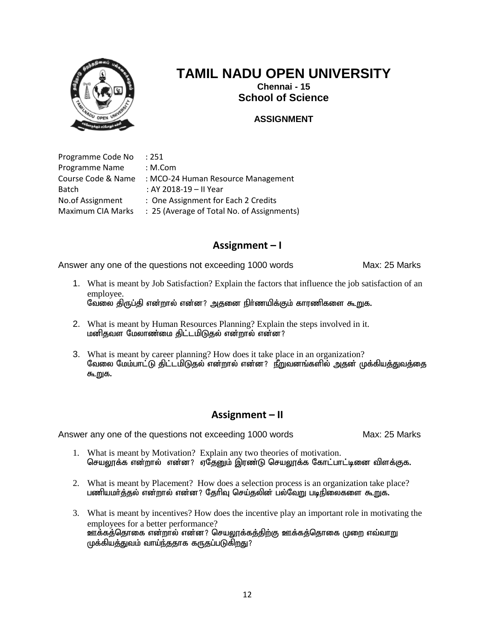

**Chennai - 15 School of Science**

#### **ASSIGNMENT**

Programme Code No : 251 Programme Name : M.Com Course Code & Name : MCO-24 Human Resource Management Batch : AY 2018-19 – II Year No.of Assignment : One Assignment for Each 2 Credits Maximum CIA Marks : 25 (Average of Total No. of Assignments)

## **Assignment – I**

Answer any one of the questions not exceeding 1000 words Max: 25 Marks

- 1. What is meant by Job Satisfaction? Explain the factors that influence the job satisfaction of an employee. வேலை திருப்தி என்றால் என்ன? அதனை நிர்ணயிக்கும் காரணிகளை கூறுக.
- 2. What is meant by Human Resources Planning? Explain the steps involved in it. மனிதவள மேலாண்மை திட்டமிடுதல் என்றால் என்ன?
- 3. What is meant by career planning? How does it take place in an organization? வேலை மேம்பாட்டு திட்டமிடுதல் என்றால் என்ன? நீறுவனங்களில் அதன் முக்கியத்துவத்தை கூறுக.

## **Assignment – II**

- 1. What is meant by Motivation? Explain any two theories of motivation. செயலூக்க என்றால் என்ன? ஏதேனும் இரண்டு செயலூக்க கோட்பாட்டினை விளக்குக.
- 2. What is meant by Placement? How does a selection process is an organization take place? பணியமர்த்தல் என்றால் என்ன? தேரிவு செய்தலின் பல்வேறு படிநிலைகளை கூறுக.
- 3. What is meant by incentives? How does the incentive play an important role in motivating the employees for a better performance? <u>ஊ</u>க்கத்்தொகை என்றால் என்ன? செயலூக்கத்திற்கு ஊக்கத்தொகை முறை எவ்வாறு  $\mu$ க்கியத்துவம் வாய்ந்ததாக கருதப்படுகிறது?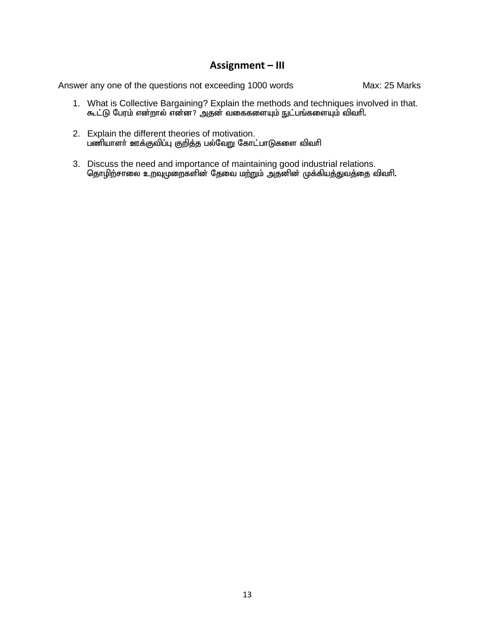- 1. What is Collective Bargaining? Explain the methods and techniques involved in that. கூட்டு பேரம் என்றால் என்ன? அதன் வகைகளையும் நுட்பங்களையும் விவரி.
- 2. Explain the different theories of motivation. gzpahsh; Cf;Ftpg;G Fwpj;j gy;NtW Nfhl;ghLfis tpthp
- 3. Discuss the need and importance of maintaining good industrial relations. தொழிற்சாலை உறவுமுறைகளின் தேவை மற்றும் அதனின் முக்கியத்துவத்தை விவரி.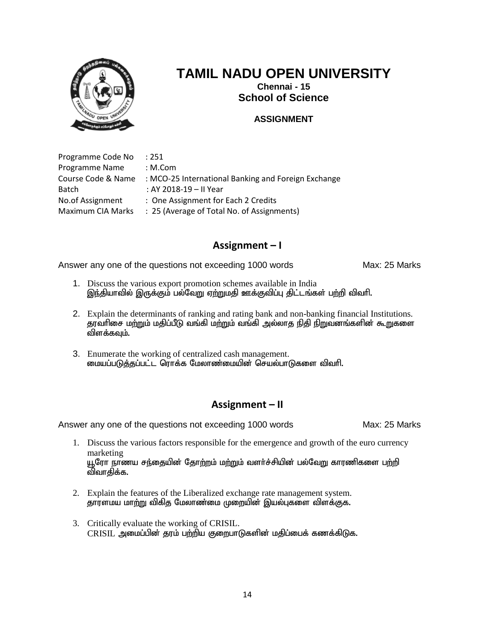

**Chennai - 15 School of Science**

### **ASSIGNMENT**

Programme Code No : 251 Programme Name : M.Com Course Code & Name : MCO-25 International Banking and Foreign Exchange Batch : AY 2018-19 – II Year No.of Assignment : One Assignment for Each 2 Credits Maximum CIA Marks : 25 (Average of Total No. of Assignments)

## **Assignment – I**

Answer any one of the questions not exceeding 1000 words Max: 25 Marks

- 1. Discuss the various export promotion schemes available in India இந்தியாவில் இருக்கும் பல்வேறு ஏற்றுமதி ஊக்குவிப்பு திட்டங்கள் பற்றி விவரி.
- 2. Explain the determinants of ranking and rating bank and non-banking financial Institutions. தரவாிசை மற்றும் மதிப்பீடு வங்கி மற்றும் வங்கி அல்லாத நிதி நிறுவனங்களின் கூறுகளை விளக்கவும்.
- 3. Enumerate the working of centralized cash management. மையப்படுத்தப்பட்ட ரொக்க மேலாண்மையின் செயல்பாடுகளை விவரி.

## **Assignment – II**

- 1. Discuss the various factors responsible for the emergence and growth of the euro currency marketing யூரோ நாணய சந்தையின் தோற்றம் மற்றும் வளர்ச்சியின் பல்வேறு காரணிகளை பற்றி விவாதிக்க.
- 2. Explain the features of the Liberalized exchange rate management system. தாரளமய மாற்று விகித மேலாண்மை முறையின் இயல்புகளை விளக்குக.
- 3. Critically evaluate the working of CRISIL.  $CRISIL$  அமைப்பின் தரம் பற்றிய குறைபாடுகளின் மதிப்பைக் கணக்கிடுக.